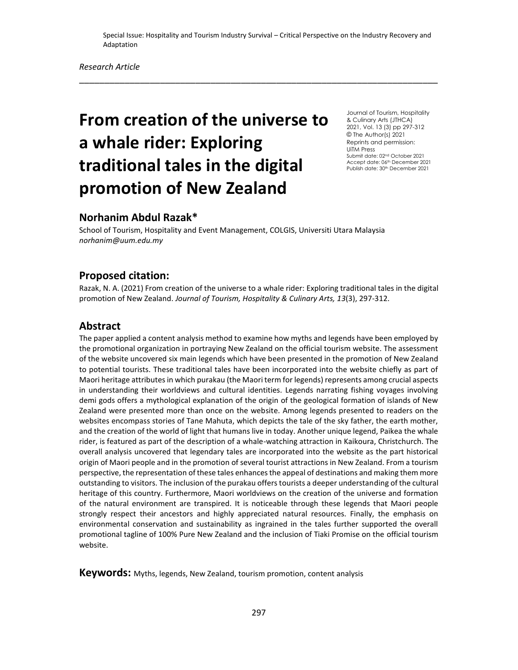\_\_\_\_\_\_\_\_\_\_\_\_\_\_\_\_\_\_\_\_\_\_\_\_\_\_\_\_\_\_\_\_\_\_\_\_\_\_\_\_\_\_\_\_\_\_\_\_\_\_\_\_\_\_\_\_\_\_\_\_\_\_\_\_\_\_\_\_\_\_\_

# **From creation of the universe to a whale rider: Exploring traditional tales in the digital promotion of New Zealand**

Journal of Tourism, Hospitality & Culinary Arts (JTHCA) 2021, Vol. 13 (3) pp 297-312 © The Author(s) 2021 Reprints and permission: UiTM Press Submit date: 02nd October 2021 Accept date: 06th December 2021 Publish date: 30<sup>th</sup> December 2021

# **Norhanim Abdul Razak\***

School of Tourism, Hospitality and Event Management, COLGIS, Universiti Utara Malaysia *[norhanim@](mailto:rajanisarangal58@gmail.com)uum.edu.my*

## **Proposed citation:**

Razak, N. A. (2021) From creation of the universe to a whale rider: Exploring traditional tales in the digital promotion of New Zealand. *Journal of Tourism, Hospitality & Culinary Arts, 13*(3), 297-312.

## **Abstract**

The paper applied a content analysis method to examine how myths and legends have been employed by the promotional organization in portraying New Zealand on the official tourism website. The assessment of the website uncovered six main legends which have been presented in the promotion of New Zealand to potential tourists. These traditional tales have been incorporated into the website chiefly as part of Maori heritage attributes in which purakau (the Maori term for legends) represents among crucial aspects in understanding their worldviews and cultural identities. Legends narrating fishing voyages involving demi gods offers a mythological explanation of the origin of the geological formation of islands of New Zealand were presented more than once on the website. Among legends presented to readers on the websites encompass stories of Tane Mahuta, which depicts the tale of the sky father, the earth mother, and the creation of the world of light that humans live in today. Another unique legend, Paikea the whale rider, is featured as part of the description of a whale-watching attraction in Kaikoura, Christchurch. The overall analysis uncovered that legendary tales are incorporated into the website as the part historical origin of Maori people and in the promotion of several tourist attractions in New Zealand. From a tourism perspective, the representation of these tales enhances the appeal of destinations and making them more outstanding to visitors. The inclusion of the purakau offers tourists a deeper understanding of the cultural heritage of this country. Furthermore, Maori worldviews on the creation of the universe and formation of the natural environment are transpired. It is noticeable through these legends that Maori people strongly respect their ancestors and highly appreciated natural resources. Finally, the emphasis on environmental conservation and sustainability as ingrained in the tales further supported the overall promotional tagline of 100% Pure New Zealand and the inclusion of Tiaki Promise on the official tourism website.

**Keywords:** Myths, legends, New Zealand, tourism promotion, content analysis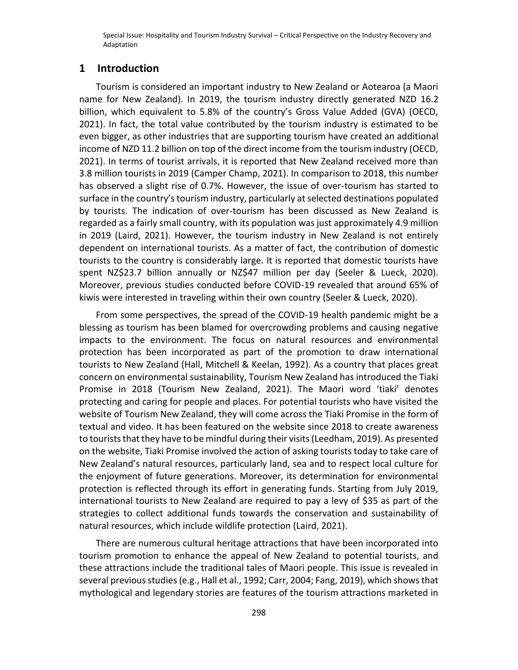## **1 Introduction**

Tourism is considered an important industry to New Zealand or Aotearoa (a Maori name for New Zealand). In 2019, the tourism industry directly generated NZD 16.2 billion, which equivalent to 5.8% of the country's Gross Value Added (GVA) (OECD, 2021). In fact, the total value contributed by the tourism industry is estimated to be even bigger, as other industries that are supporting tourism have created an additional income of NZD 11.2 billion on top of the direct income from the tourism industry (OECD, 2021). In terms of tourist arrivals, it is reported that New Zealand received more than 3.8 million tourists in 2019 (Camper Champ, 2021). In comparison to 2018, this number has observed a slight rise of 0.7%. However, the issue of over-tourism has started to surface in the country's tourism industry, particularly at selected destinations populated by tourists. The indication of over-tourism has been discussed as New Zealand is regarded as a fairly small country, with its population was just approximately 4.9 million in 2019 (Laird, 2021). However, the tourism industry in New Zealand is not entirely dependent on international tourists. As a matter of fact, the contribution of domestic tourists to the country is considerably large. It is reported that domestic tourists have spent NZ\$23.7 billion annually or NZ\$47 million per day (Seeler & Lueck, 2020). Moreover, previous studies conducted before COVID-19 revealed that around 65% of kiwis were interested in traveling within their own country (Seeler & Lueck, 2020).

From some perspectives, the spread of the COVID-19 health pandemic might be a blessing as tourism has been blamed for overcrowding problems and causing negative impacts to the environment. The focus on natural resources and environmental protection has been incorporated as part of the promotion to draw international tourists to New Zealand (Hall, Mitchell & Keelan, 1992). As a country that places great concern on environmental sustainability, Tourism New Zealand has introduced the Tiaki Promise in 2018 (Tourism New Zealand, 2021). The Maori word 'tiaki' denotes protecting and caring for people and places. For potential tourists who have visited the website of Tourism New Zealand, they will come across the Tiaki Promise in the form of textual and video. It has been featured on the website since 2018 to create awareness to tourists that they have to be mindful during their visits (Leedham, 2019). As presented on the website, Tiaki Promise involved the action of asking tourists today to take care of New Zealand's natural resources, particularly land, sea and to respect local culture for the enjoyment of future generations. Moreover, its determination for environmental protection is reflected through its effort in generating funds. Starting from July 2019, international tourists to New Zealand are required to pay a levy of \$35 as part of the strategies to collect additional funds towards the conservation and sustainability of natural resources, which include wildlife protection (Laird, 2021).

There are numerous cultural heritage attractions that have been incorporated into tourism promotion to enhance the appeal of New Zealand to potential tourists, and these attractions include the traditional tales of Maori people. This issue is revealed in several previous studies (e.g., Hall et al., 1992; Carr, 2004; Fang, 2019), which shows that mythological and legendary stories are features of the tourism attractions marketed in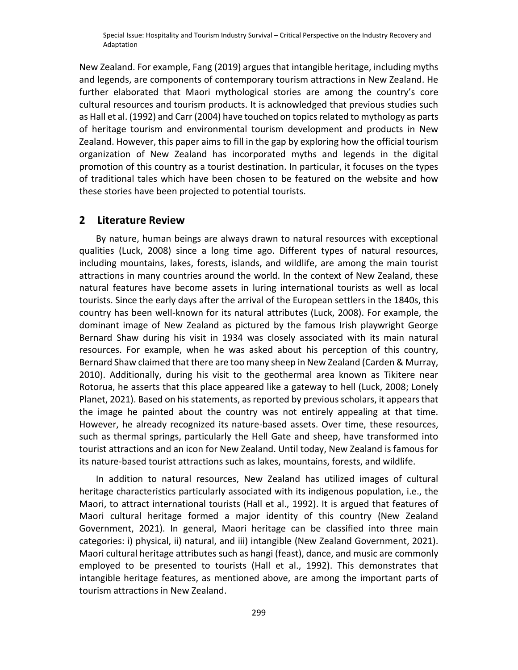New Zealand. For example, Fang (2019) argues that intangible heritage, including myths and legends, are components of contemporary tourism attractions in New Zealand. He further elaborated that Maori mythological stories are among the country's core cultural resources and tourism products. It is acknowledged that previous studies such as Hall et al. (1992) and Carr (2004) have touched on topics related to mythology as parts of heritage tourism and environmental tourism development and products in New Zealand. However, this paper aims to fill in the gap by exploring how the official tourism organization of New Zealand has incorporated myths and legends in the digital promotion of this country as a tourist destination. In particular, it focuses on the types of traditional tales which have been chosen to be featured on the website and how these stories have been projected to potential tourists.

## **2 Literature Review**

By nature, human beings are always drawn to natural resources with exceptional qualities (Luck, 2008) since a long time ago. Different types of natural resources, including mountains, lakes, forests, islands, and wildlife, are among the main tourist attractions in many countries around the world. In the context of New Zealand, these natural features have become assets in luring international tourists as well as local tourists. Since the early days after the arrival of the European settlers in the 1840s, this country has been well-known for its natural attributes (Luck, 2008). For example, the dominant image of New Zealand as pictured by the famous Irish playwright George Bernard Shaw during his visit in 1934 was closely associated with its main natural resources. For example, when he was asked about his perception of this country, Bernard Shaw claimed that there are too many sheep in New Zealand (Carden & Murray, 2010). Additionally, during his visit to the geothermal area known as Tikitere near Rotorua, he asserts that this place appeared like a gateway to hell (Luck, 2008; Lonely Planet, 2021). Based on his statements, as reported by previous scholars, it appears that the image he painted about the country was not entirely appealing at that time. However, he already recognized its nature-based assets. Over time, these resources, such as thermal springs, particularly the Hell Gate and sheep, have transformed into tourist attractions and an icon for New Zealand. Until today, New Zealand is famous for its nature-based tourist attractions such as lakes, mountains, forests, and wildlife.

In addition to natural resources, New Zealand has utilized images of cultural heritage characteristics particularly associated with its indigenous population, i.e., the Maori, to attract international tourists (Hall et al., 1992). It is argued that features of Maori cultural heritage formed a major identity of this country (New Zealand Government, 2021). In general, Maori heritage can be classified into three main categories: i) physical, ii) natural, and iii) intangible (New Zealand Government, 2021). Maori cultural heritage attributes such as hangi (feast), dance, and music are commonly employed to be presented to tourists (Hall et al., 1992). This demonstrates that intangible heritage features, as mentioned above, are among the important parts of tourism attractions in New Zealand.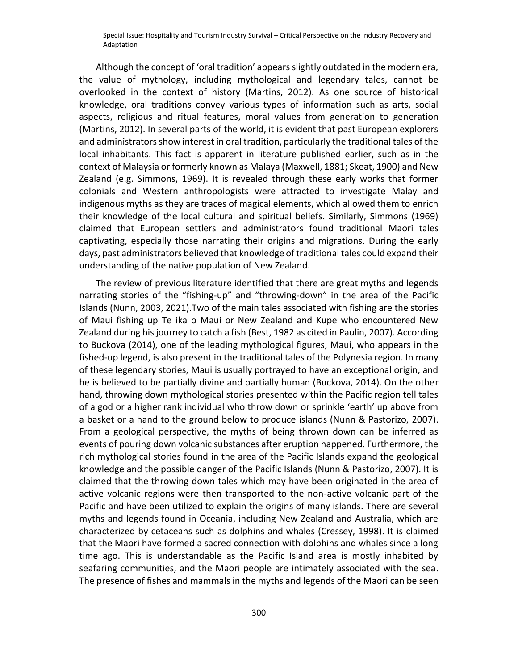Although the concept of 'oral tradition' appears slightly outdated in the modern era, the value of mythology, including mythological and legendary tales, cannot be overlooked in the context of history (Martins, 2012). As one source of historical knowledge, oral traditions convey various types of information such as arts, social aspects, religious and ritual features, moral values from generation to generation (Martins, 2012). In several parts of the world, it is evident that past European explorers and administrators show interest in oral tradition, particularly the traditional tales of the local inhabitants. This fact is apparent in literature published earlier, such as in the context of Malaysia or formerly known as Malaya (Maxwell, 1881; Skeat, 1900) and New Zealand (e.g. Simmons, 1969). It is revealed through these early works that former colonials and Western anthropologists were attracted to investigate Malay and indigenous myths as they are traces of magical elements, which allowed them to enrich their knowledge of the local cultural and spiritual beliefs. Similarly, Simmons (1969) claimed that European settlers and administrators found traditional Maori tales captivating, especially those narrating their origins and migrations. During the early days, past administrators believed that knowledge of traditional tales could expand their understanding of the native population of New Zealand.

The review of previous literature identified that there are great myths and legends narrating stories of the "fishing-up" and "throwing-down" in the area of the Pacific Islands (Nunn, 2003, 2021).Two of the main tales associated with fishing are the stories of Maui fishing up Te ika o Maui or New Zealand and Kupe who encountered New Zealand during his journey to catch a fish (Best, 1982 as cited in Paulin, 2007). According to Buckova (2014), one of the leading mythological figures, Maui, who appears in the fished-up legend, is also present in the traditional tales of the Polynesia region. In many of these legendary stories, Maui is usually portrayed to have an exceptional origin, and he is believed to be partially divine and partially human (Buckova, 2014). On the other hand, throwing down mythological stories presented within the Pacific region tell tales of a god or a higher rank individual who throw down or sprinkle 'earth' up above from a basket or a hand to the ground below to produce islands (Nunn & Pastorizo, 2007). From a geological perspective, the myths of being thrown down can be inferred as events of pouring down volcanic substances after eruption happened. Furthermore, the rich mythological stories found in the area of the Pacific Islands expand the geological knowledge and the possible danger of the Pacific Islands (Nunn & Pastorizo, 2007). It is claimed that the throwing down tales which may have been originated in the area of active volcanic regions were then transported to the non-active volcanic part of the Pacific and have been utilized to explain the origins of many islands. There are several myths and legends found in Oceania, including New Zealand and Australia, which are characterized by cetaceans such as dolphins and whales (Cressey, 1998). It is claimed that the Maori have formed a sacred connection with dolphins and whales since a long time ago. This is understandable as the Pacific Island area is mostly inhabited by seafaring communities, and the Maori people are intimately associated with the sea. The presence of fishes and mammals in the myths and legends of the Maori can be seen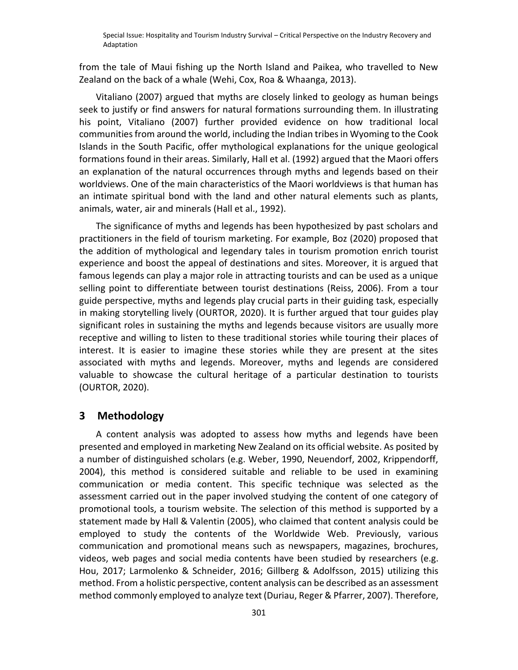from the tale of Maui fishing up the North Island and Paikea, who travelled to New Zealand on the back of a whale (Wehi, Cox, Roa & Whaanga, 2013).

Vitaliano (2007) argued that myths are closely linked to geology as human beings seek to justify or find answers for natural formations surrounding them. In illustrating his point, Vitaliano (2007) further provided evidence on how traditional local communities from around the world, including the Indian tribes in Wyoming to the Cook Islands in the South Pacific, offer mythological explanations for the unique geological formations found in their areas. Similarly, Hall et al. (1992) argued that the Maori offers an explanation of the natural occurrences through myths and legends based on their worldviews. One of the main characteristics of the Maori worldviews is that human has an intimate spiritual bond with the land and other natural elements such as plants, animals, water, air and minerals (Hall et al., 1992).

The significance of myths and legends has been hypothesized by past scholars and practitioners in the field of tourism marketing. For example, Boz (2020) proposed that the addition of mythological and legendary tales in tourism promotion enrich tourist experience and boost the appeal of destinations and sites. Moreover, it is argued that famous legends can play a major role in attracting tourists and can be used as a unique selling point to differentiate between tourist destinations (Reiss, 2006). From a tour guide perspective, myths and legends play crucial parts in their guiding task, especially in making storytelling lively (OURTOR, 2020). It is further argued that tour guides play significant roles in sustaining the myths and legends because visitors are usually more receptive and willing to listen to these traditional stories while touring their places of interest. It is easier to imagine these stories while they are present at the sites associated with myths and legends. Moreover, myths and legends are considered valuable to showcase the cultural heritage of a particular destination to tourists (OURTOR, 2020).

# **3 Methodology**

A content analysis was adopted to assess how myths and legends have been presented and employed in marketing New Zealand on its official website. As posited by a number of distinguished scholars (e.g. Weber, 1990, Neuendorf, 2002, Krippendorff, 2004), this method is considered suitable and reliable to be used in examining communication or media content. This specific technique was selected as the assessment carried out in the paper involved studying the content of one category of promotional tools, a tourism website. The selection of this method is supported by a statement made by Hall & Valentin (2005), who claimed that content analysis could be employed to study the contents of the Worldwide Web. Previously, various communication and promotional means such as newspapers, magazines, brochures, videos, web pages and social media contents have been studied by researchers (e.g. Hou, 2017; Larmolenko & Schneider, 2016; Gillberg & Adolfsson, 2015) utilizing this method. From a holistic perspective, content analysis can be described as an assessment method commonly employed to analyze text (Duriau, Reger & Pfarrer, 2007). Therefore,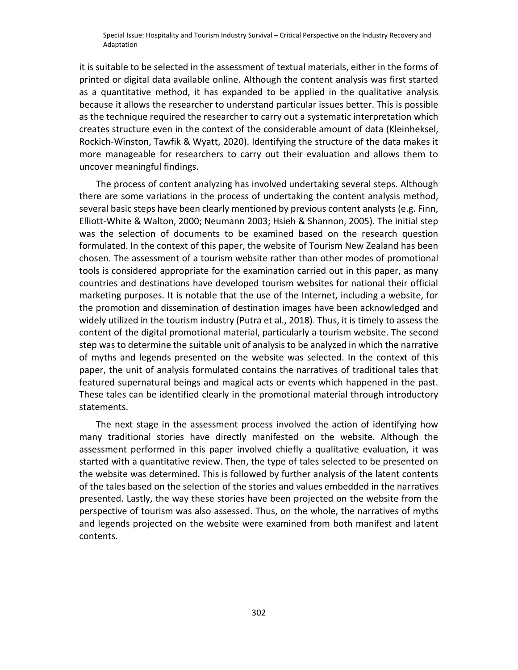it is suitable to be selected in the assessment of textual materials, either in the forms of printed or digital data available online. Although the content analysis was first started as a quantitative method, it has expanded to be applied in the qualitative analysis because it allows the researcher to understand particular issues better. This is possible as the technique required the researcher to carry out a systematic interpretation which creates structure even in the context of the considerable amount of data (Kleinheksel, Rockich-Winston, Tawfik & Wyatt, 2020). Identifying the structure of the data makes it more manageable for researchers to carry out their evaluation and allows them to uncover meaningful findings.

The process of content analyzing has involved undertaking several steps. Although there are some variations in the process of undertaking the content analysis method, several basic steps have been clearly mentioned by previous content analysts (e.g. Finn, Elliott-White & Walton, 2000; Neumann 2003; Hsieh & Shannon, 2005). The initial step was the selection of documents to be examined based on the research question formulated. In the context of this paper, the website of Tourism New Zealand has been chosen. The assessment of a tourism website rather than other modes of promotional tools is considered appropriate for the examination carried out in this paper, as many countries and destinations have developed tourism websites for national their official marketing purposes. It is notable that the use of the Internet, including a website, for the promotion and dissemination of destination images have been acknowledged and widely utilized in the tourism industry (Putra et al., 2018). Thus, it is timely to assess the content of the digital promotional material, particularly a tourism website. The second step was to determine the suitable unit of analysis to be analyzed in which the narrative of myths and legends presented on the website was selected. In the context of this paper, the unit of analysis formulated contains the narratives of traditional tales that featured supernatural beings and magical acts or events which happened in the past. These tales can be identified clearly in the promotional material through introductory statements.

The next stage in the assessment process involved the action of identifying how many traditional stories have directly manifested on the website. Although the assessment performed in this paper involved chiefly a qualitative evaluation, it was started with a quantitative review. Then, the type of tales selected to be presented on the website was determined. This is followed by further analysis of the latent contents of the tales based on the selection of the stories and values embedded in the narratives presented. Lastly, the way these stories have been projected on the website from the perspective of tourism was also assessed. Thus, on the whole, the narratives of myths and legends projected on the website were examined from both manifest and latent contents.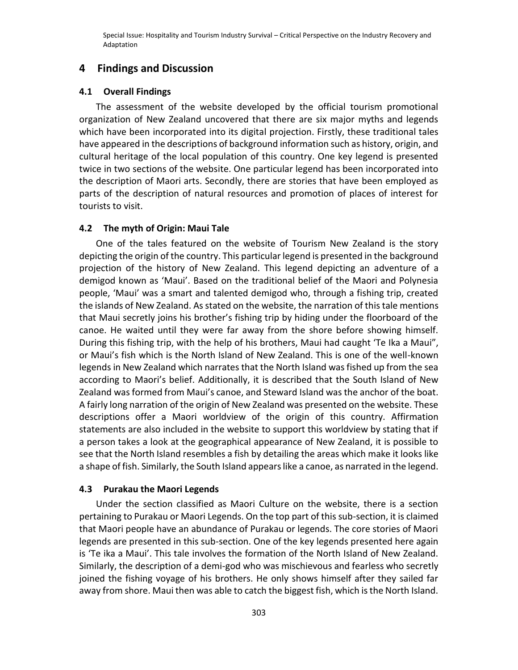## **4 Findings and Discussion**

#### **4.1 Overall Findings**

The assessment of the website developed by the official tourism promotional organization of New Zealand uncovered that there are six major myths and legends which have been incorporated into its digital projection. Firstly, these traditional tales have appeared in the descriptions of background information such as history, origin, and cultural heritage of the local population of this country. One key legend is presented twice in two sections of the website. One particular legend has been incorporated into the description of Maori arts. Secondly, there are stories that have been employed as parts of the description of natural resources and promotion of places of interest for tourists to visit.

## **4.2 The myth of Origin: Maui Tale**

One of the tales featured on the website of Tourism New Zealand is the story depicting the origin of the country. This particular legend is presented in the background projection of the history of New Zealand. This legend depicting an adventure of a demigod known as 'Maui'. Based on the traditional belief of the Maori and Polynesia people, 'Maui' was a smart and talented demigod who, through a fishing trip, created the islands of New Zealand. As stated on the website, the narration of this tale mentions that Maui secretly joins his brother's fishing trip by hiding under the floorboard of the canoe. He waited until they were far away from the shore before showing himself. During this fishing trip, with the help of his brothers, Maui had caught 'Te Ika a Maui", or Maui's fish which is the North Island of New Zealand. This is one of the well-known legends in New Zealand which narrates that the North Island was fished up from the sea according to Maori's belief. Additionally, it is described that the South Island of New Zealand was formed from Maui's canoe, and Steward Island was the anchor of the boat. A fairly long narration of the origin of New Zealand was presented on the website. These descriptions offer a Maori worldview of the origin of this country. Affirmation statements are also included in the website to support this worldview by stating that if a person takes a look at the geographical appearance of New Zealand, it is possible to see that the North Island resembles a fish by detailing the areas which make it looks like a shape of fish. Similarly, the South Island appears like a canoe, as narrated in the legend.

#### **4.3 Purakau the Maori Legends**

Under the section classified as Maori Culture on the website, there is a section pertaining to Purakau or Maori Legends. On the top part of this sub-section, it is claimed that Maori people have an abundance of Purakau or legends. The core stories of Maori legends are presented in this sub-section. One of the key legends presented here again is 'Te ika a Maui'. This tale involves the formation of the North Island of New Zealand. Similarly, the description of a demi-god who was mischievous and fearless who secretly joined the fishing voyage of his brothers. He only shows himself after they sailed far away from shore. Maui then was able to catch the biggest fish, which is the North Island.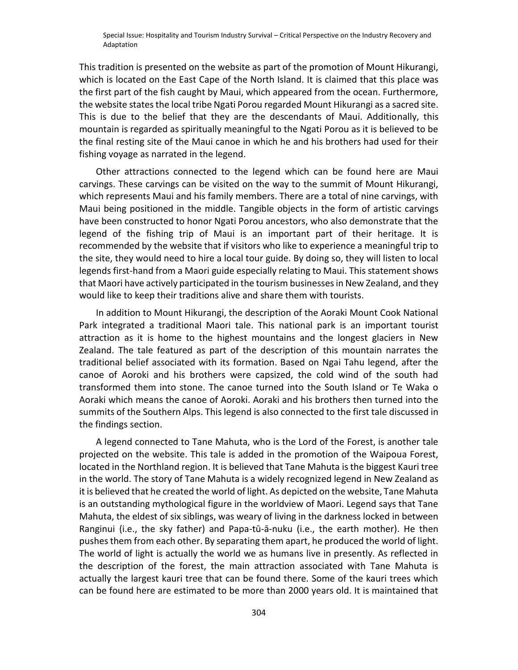This tradition is presented on the website as part of the promotion of Mount Hikurangi, which is located on the East Cape of the North Island. It is claimed that this place was the first part of the fish caught by Maui, which appeared from the ocean. Furthermore, the website states the local tribe Ngati Porou regarded Mount Hikurangi as a sacred site. This is due to the belief that they are the descendants of Maui. Additionally, this mountain is regarded as spiritually meaningful to the Ngati Porou as it is believed to be the final resting site of the Maui canoe in which he and his brothers had used for their fishing voyage as narrated in the legend.

Other attractions connected to the legend which can be found here are Maui carvings. These carvings can be visited on the way to the summit of Mount Hikurangi, which represents Maui and his family members. There are a total of nine carvings, with Maui being positioned in the middle. Tangible objects in the form of artistic carvings have been constructed to honor Ngati Porou ancestors, who also demonstrate that the legend of the fishing trip of Maui is an important part of their heritage. It is recommended by the website that if visitors who like to experience a meaningful trip to the site, they would need to hire a local tour guide. By doing so, they will listen to local legends first-hand from a Maori guide especially relating to Maui. This statement shows that Maori have actively participated in the tourism businesses in New Zealand, and they would like to keep their traditions alive and share them with tourists.

In addition to Mount Hikurangi, the description of the Aoraki Mount Cook National Park integrated a traditional Maori tale. This national park is an important tourist attraction as it is home to the highest mountains and the longest glaciers in New Zealand. The tale featured as part of the description of this mountain narrates the traditional belief associated with its formation. Based on Ngai Tahu legend, after the canoe of Aoroki and his brothers were capsized, the cold wind of the south had transformed them into stone. The canoe turned into the South Island or Te Waka o Aoraki which means the canoe of Aoroki. Aoraki and his brothers then turned into the summits of the Southern Alps. This legend is also connected to the first tale discussed in the findings section.

A legend connected to Tane Mahuta, who is the Lord of the Forest, is another tale projected on the website. This tale is added in the promotion of the Waipoua Forest, located in the Northland region. It is believed that Tane Mahuta is the biggest Kauri tree in the world. The story of Tane Mahuta is a widely recognized legend in New Zealand as it is believed that he created the world of light. As depicted on the website, Tane Mahuta is an outstanding mythological figure in the worldview of Maori. Legend says that Tane Mahuta, the eldest of six siblings, was weary of living in the darkness locked in between Ranginui (i.e., the sky father) and Papa-tū-ā-nuku (i.e., the earth mother). He then pushes them from each other. By separating them apart, he produced the world of light. The world of light is actually the world we as humans live in presently. As reflected in the description of the forest, the main attraction associated with Tane Mahuta is actually the largest kauri tree that can be found there. Some of the kauri trees which can be found here are estimated to be more than 2000 years old. It is maintained that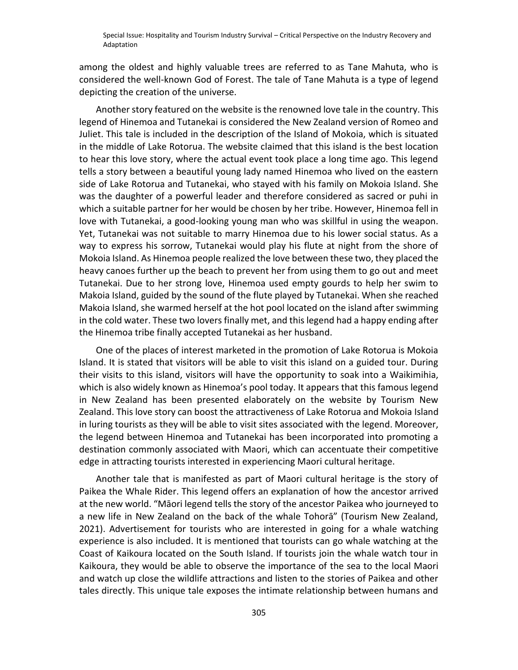among the oldest and highly valuable trees are referred to as Tane Mahuta, who is considered the well-known God of Forest. The tale of Tane Mahuta is a type of legend depicting the creation of the universe.

Another story featured on the website is the renowned love tale in the country. This legend of Hinemoa and Tutanekai is considered the New Zealand version of Romeo and Juliet. This tale is included in the description of the Island of Mokoia, which is situated in the middle of Lake Rotorua. The website claimed that this island is the best location to hear this love story, where the actual event took place a long time ago. This legend tells a story between a beautiful young lady named Hinemoa who lived on the eastern side of Lake Rotorua and Tutanekai, who stayed with his family on Mokoia Island. She was the daughter of a powerful leader and therefore considered as sacred or puhi in which a suitable partner for her would be chosen by her tribe. However, Hinemoa fell in love with Tutanekai, a good-looking young man who was skillful in using the weapon. Yet, Tutanekai was not suitable to marry Hinemoa due to his lower social status. As a way to express his sorrow, Tutanekai would play his flute at night from the shore of Mokoia Island. As Hinemoa people realized the love between these two, they placed the heavy canoes further up the beach to prevent her from using them to go out and meet Tutanekai. Due to her strong love, Hinemoa used empty gourds to help her swim to Makoia Island, guided by the sound of the flute played by Tutanekai. When she reached Makoia Island, she warmed herself at the hot pool located on the island after swimming in the cold water. These two lovers finally met, and this legend had a happy ending after the Hinemoa tribe finally accepted Tutanekai as her husband.

One of the places of interest marketed in the promotion of Lake Rotorua is Mokoia Island. It is stated that visitors will be able to visit this island on a guided tour. During their visits to this island, visitors will have the opportunity to soak into a Waikimihia, which is also widely known as Hinemoa's pool today. It appears that this famous legend in New Zealand has been presented elaborately on the website by Tourism New Zealand. This love story can boost the attractiveness of Lake Rotorua and Mokoia Island in luring tourists as they will be able to visit sites associated with the legend. Moreover, the legend between Hinemoa and Tutanekai has been incorporated into promoting a destination commonly associated with Maori, which can accentuate their competitive edge in attracting tourists interested in experiencing Maori cultural heritage.

Another tale that is manifested as part of Maori cultural heritage is the story of Paikea the Whale Rider. This legend offers an explanation of how the ancestor arrived at the new world. "Māori legend tells the story of the ancestor Paikea who journeyed to a new life in New Zealand on the back of the whale Tohorā" (Tourism New Zealand, 2021). Advertisement for tourists who are interested in going for a whale watching experience is also included. It is mentioned that tourists can go whale watching at the Coast of Kaikoura located on the South Island. If tourists join the whale watch tour in Kaikoura, they would be able to observe the importance of the sea to the local Maori and watch up close the wildlife attractions and listen to the stories of Paikea and other tales directly. This unique tale exposes the intimate relationship between humans and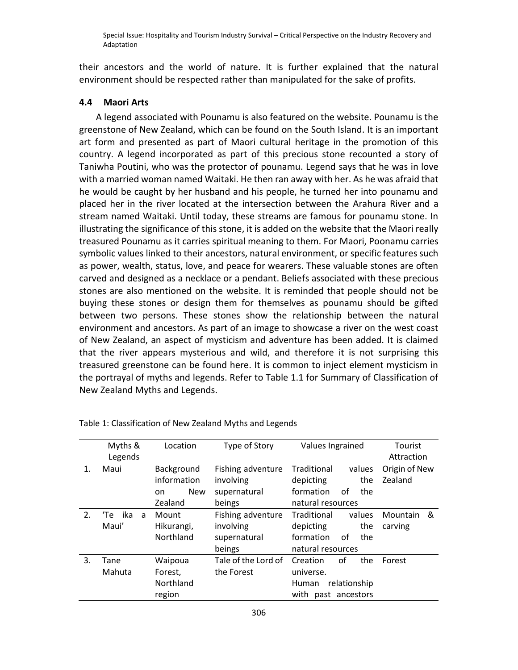their ancestors and the world of nature. It is further explained that the natural environment should be respected rather than manipulated for the sake of profits.

## **4.4 Maori Arts**

A legend associated with Pounamu is also featured on the website. Pounamu is the greenstone of New Zealand, which can be found on the South Island. It is an important art form and presented as part of Maori cultural heritage in the promotion of this country. A legend incorporated as part of this precious stone recounted a story of Taniwha Poutini, who was the protector of pounamu. Legend says that he was in love with a married woman named Waitaki. He then ran away with her. As he was afraid that he would be caught by her husband and his people, he turned her into pounamu and placed her in the river located at the intersection between the Arahura River and a stream named Waitaki. Until today, these streams are famous for pounamu stone. In illustrating the significance of this stone, it is added on the website that the Maori really treasured Pounamu as it carries spiritual meaning to them. For Maori, Poonamu carries symbolic values linked to their ancestors, natural environment, or specific features such as power, wealth, status, love, and peace for wearers. These valuable stones are often carved and designed as a necklace or a pendant. Beliefs associated with these precious stones are also mentioned on the website. It is reminded that people should not be buying these stones or design them for themselves as pounamu should be gifted between two persons. These stones show the relationship between the natural environment and ancestors. As part of an image to showcase a river on the west coast of New Zealand, an aspect of mysticism and adventure has been added. It is claimed that the river appears mysterious and wild, and therefore it is not surprising this treasured greenstone can be found here. It is common to inject element mysticism in the portrayal of myths and legends. Refer to Table 1.1 for Summary of Classification of New Zealand Myths and Legends.

|                | Myths &         | Location          | Type of Story       | Values Ingrained             | Tourist       |
|----------------|-----------------|-------------------|---------------------|------------------------------|---------------|
|                | Legends         |                   |                     |                              | Attraction    |
| $\mathbf{1}$ . | Maui            | Background        | Fishing adventure   | Traditional<br>values        | Origin of New |
|                |                 | information       | involving           | the<br>depicting             | Zealand       |
|                |                 | <b>New</b><br>on. | supernatural        | formation<br>οf<br>the       |               |
|                |                 | Zealand           | beings              | natural resources            |               |
| 2.             | ika<br>'Te<br>a | Mount             | Fishing adventure   | Traditional<br>values        | &<br>Mountain |
|                | Maui'           | Hikurangi,        | involving           | the<br>depicting             | carving       |
|                |                 | Northland         | supernatural        | formation<br>οf<br>the       |               |
|                |                 |                   | beings              | natural resources            |               |
| 3.             | Tane            | Waipoua           | Tale of the Lord of | Ωf<br>Creation<br>the        | Forest        |
|                | Mahuta          | Forest,           | the Forest          | universe.                    |               |
|                |                 | Northland         |                     | relationship<br><b>Human</b> |               |
|                |                 | region            |                     | with<br>past ancestors       |               |

Table 1: Classification of New Zealand Myths and Legends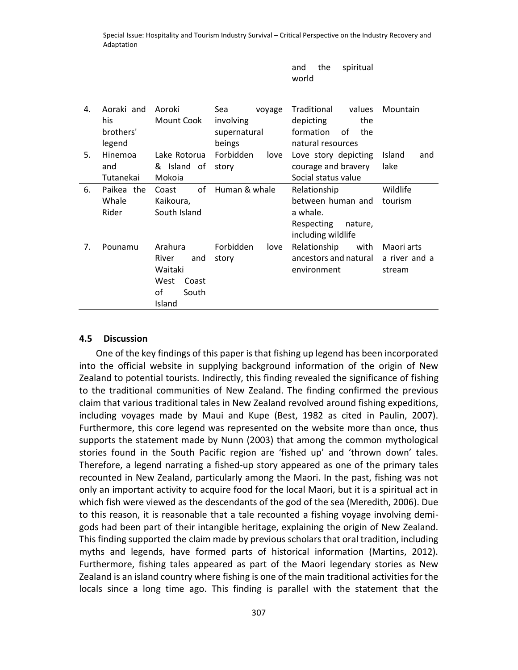and the spiritual

| Aoraki and<br>Aoroki<br>Traditional<br>Mountain<br>4.<br>Sea<br>values<br>voyage<br>his<br>Mount Cook<br>involving<br>depicting<br>the<br>brothers'<br>formation<br>οf<br>the<br>supernatural |  |
|-----------------------------------------------------------------------------------------------------------------------------------------------------------------------------------------------|--|
|                                                                                                                                                                                               |  |
|                                                                                                                                                                                               |  |
|                                                                                                                                                                                               |  |
|                                                                                                                                                                                               |  |
| natural resources<br>legend<br>beings                                                                                                                                                         |  |
| 5.<br>Forbidden<br>Hinemoa<br>Lake Rotorua<br>Love story depicting<br>Island<br>love<br>and                                                                                                   |  |
| & Island of<br>courage and bravery<br>lake<br>and<br>story                                                                                                                                    |  |
| Social status value<br>Tutanekai<br>Mokoia                                                                                                                                                    |  |
| οf<br>Human & whale<br>6.<br>Paikea the<br>Wildlife<br>Coast<br>Relationship                                                                                                                  |  |
| Whale<br>between human and<br>tourism<br>Kaikoura,                                                                                                                                            |  |
| Rider<br>South Island<br>a whale.                                                                                                                                                             |  |
| Respecting<br>nature,                                                                                                                                                                         |  |
| including wildlife                                                                                                                                                                            |  |
| 7.<br>Arahura<br>Forbidden<br>Relationship<br>Pounamu<br>with<br>Maori arts<br>love                                                                                                           |  |
| ancestors and natural<br>a river and a<br>River<br>and<br>story                                                                                                                               |  |
| Waitaki<br>environment<br>stream                                                                                                                                                              |  |
| West<br>Coast                                                                                                                                                                                 |  |
| of<br>South                                                                                                                                                                                   |  |
| Island                                                                                                                                                                                        |  |

#### **4.5 Discussion**

One of the key findings of this paper is that fishing up legend has been incorporated into the official website in supplying background information of the origin of New Zealand to potential tourists. Indirectly, this finding revealed the significance of fishing to the traditional communities of New Zealand. The finding confirmed the previous claim that various traditional tales in New Zealand revolved around fishing expeditions, including voyages made by Maui and Kupe (Best, 1982 as cited in Paulin, 2007). Furthermore, this core legend was represented on the website more than once, thus supports the statement made by Nunn (2003) that among the common mythological stories found in the South Pacific region are 'fished up' and 'thrown down' tales. Therefore, a legend narrating a fished-up story appeared as one of the primary tales recounted in New Zealand, particularly among the Maori. In the past, fishing was not only an important activity to acquire food for the local Maori, but it is a spiritual act in which fish were viewed as the descendants of the god of the sea (Meredith, 2006). Due to this reason, it is reasonable that a tale recounted a fishing voyage involving demigods had been part of their intangible heritage, explaining the origin of New Zealand. This finding supported the claim made by previous scholars that oral tradition, including myths and legends, have formed parts of historical information (Martins, 2012). Furthermore, fishing tales appeared as part of the Maori legendary stories as New Zealand is an island country where fishing is one of the main traditional activities for the locals since a long time ago. This finding is parallel with the statement that the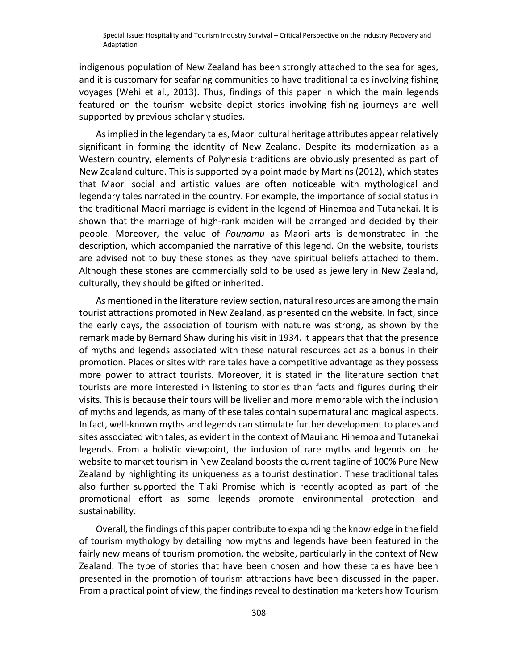indigenous population of New Zealand has been strongly attached to the sea for ages, and it is customary for seafaring communities to have traditional tales involving fishing voyages (Wehi et al., 2013). Thus, findings of this paper in which the main legends featured on the tourism website depict stories involving fishing journeys are well supported by previous scholarly studies.

As implied in the legendary tales, Maori cultural heritage attributes appear relatively significant in forming the identity of New Zealand. Despite its modernization as a Western country, elements of Polynesia traditions are obviously presented as part of New Zealand culture. This is supported by a point made by Martins (2012), which states that Maori social and artistic values are often noticeable with mythological and legendary tales narrated in the country. For example, the importance of social status in the traditional Maori marriage is evident in the legend of Hinemoa and Tutanekai. It is shown that the marriage of high-rank maiden will be arranged and decided by their people. Moreover, the value of *Pounamu* as Maori arts is demonstrated in the description, which accompanied the narrative of this legend. On the website, tourists are advised not to buy these stones as they have spiritual beliefs attached to them. Although these stones are commercially sold to be used as jewellery in New Zealand, culturally, they should be gifted or inherited.

As mentioned in the literature review section, natural resources are among the main tourist attractions promoted in New Zealand, as presented on the website. In fact, since the early days, the association of tourism with nature was strong, as shown by the remark made by Bernard Shaw during his visit in 1934. It appears that that the presence of myths and legends associated with these natural resources act as a bonus in their promotion. Places or sites with rare tales have a competitive advantage as they possess more power to attract tourists. Moreover, it is stated in the literature section that tourists are more interested in listening to stories than facts and figures during their visits. This is because their tours will be livelier and more memorable with the inclusion of myths and legends, as many of these tales contain supernatural and magical aspects. In fact, well-known myths and legends can stimulate further development to places and sites associated with tales, as evident in the context of Maui and Hinemoa and Tutanekai legends. From a holistic viewpoint, the inclusion of rare myths and legends on the website to market tourism in New Zealand boosts the current tagline of 100% Pure New Zealand by highlighting its uniqueness as a tourist destination. These traditional tales also further supported the Tiaki Promise which is recently adopted as part of the promotional effort as some legends promote environmental protection and sustainability.

Overall, the findings of this paper contribute to expanding the knowledge in the field of tourism mythology by detailing how myths and legends have been featured in the fairly new means of tourism promotion, the website, particularly in the context of New Zealand. The type of stories that have been chosen and how these tales have been presented in the promotion of tourism attractions have been discussed in the paper. From a practical point of view, the findings reveal to destination marketers how Tourism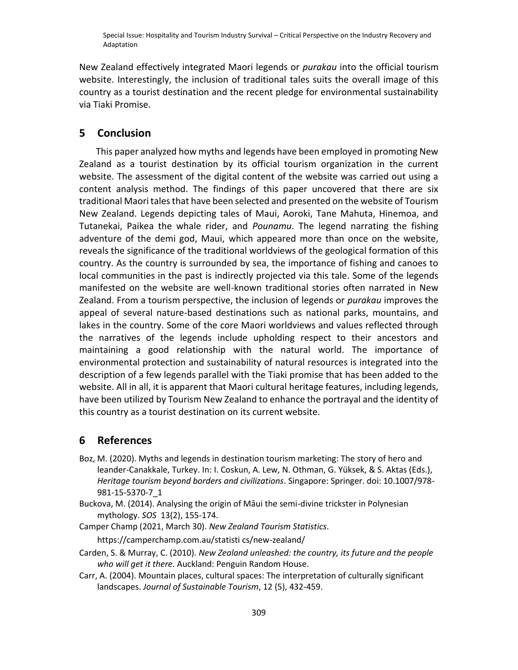New Zealand effectively integrated Maori legends or *purakau* into the official tourism website. Interestingly, the inclusion of traditional tales suits the overall image of this country as a tourist destination and the recent pledge for environmental sustainability via Tiaki Promise.

## **5 Conclusion**

This paper analyzed how myths and legends have been employed in promoting New Zealand as a tourist destination by its official tourism organization in the current website. The assessment of the digital content of the website was carried out using a content analysis method. The findings of this paper uncovered that there are six traditional Maori tales that have been selected and presented on the website of Tourism New Zealand. Legends depicting tales of Maui, Aoroki, Tane Mahuta, Hinemoa, and Tutanekai, Paikea the whale rider, and *Pounamu*. The legend narrating the fishing adventure of the demi god, Maui, which appeared more than once on the website, reveals the significance of the traditional worldviews of the geological formation of this country. As the country is surrounded by sea, the importance of fishing and canoes to local communities in the past is indirectly projected via this tale. Some of the legends manifested on the website are well-known traditional stories often narrated in New Zealand. From a tourism perspective, the inclusion of legends or *purakau* improves the appeal of several nature-based destinations such as national parks, mountains, and lakes in the country. Some of the core Maori worldviews and values reflected through the narratives of the legends include upholding respect to their ancestors and maintaining a good relationship with the natural world. The importance of environmental protection and sustainability of natural resources is integrated into the description of a few legends parallel with the Tiaki promise that has been added to the website. All in all, it is apparent that Maori cultural heritage features, including legends, have been utilized by Tourism New Zealand to enhance the portrayal and the identity of this country as a tourist destination on its current website.

## **6 References**

- Boz, M. (2020). Myths and legends in destination tourism marketing: The story of hero and leander-Canakkale, Turkey. In: I. Coskun, A. Lew, N. Othman, G. Yüksek, & S. Aktas (Eds.), *Heritage tourism beyond borders and civilizations*. Singapore: Springer. doi: 10.1007/978- 981-15-5370-7\_1
- Buckova, M. (2014). Analysing the origin of Māui the semi-divine trickster in Polynesian mythology. *SOS* 13(2), 155-174.

Camper Champ (2021, March 30). *New Zealand Tourism Statistics*. [https://camperchamp.com.au/statisti cs/new-zealand/](https://camperchamp.com.au/statisti%20cs/new-zealand/)

- Carden, S. & Murray, C. (2010). *New Zealand unleashed: the country, its future and the people who will get it there*. Auckland: Penguin Random House.
- Carr, A. (2004). Mountain places, cultural spaces: The interpretation of culturally significant landscapes. *Journal of Sustainable Tourism*, 12 (5), 432-459.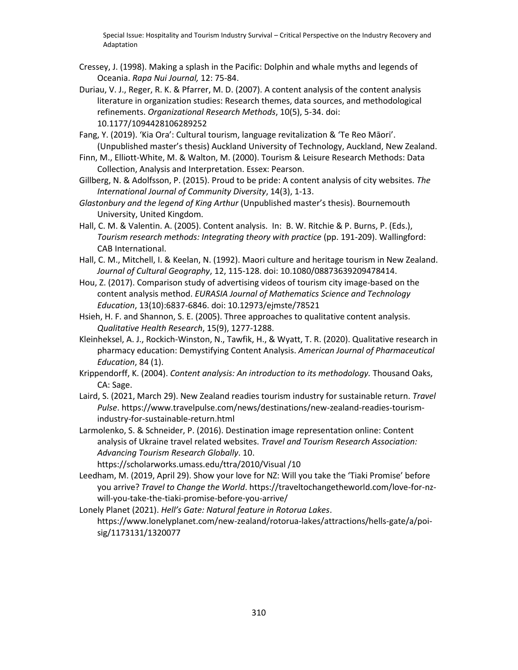- Cressey, J. (1998). Making a splash in the Pacific: Dolphin and whale myths and legends of Oceania. *Rapa Nui Journal,* 12: 75-84.
- Duriau, V. J., Reger, R. K. & Pfarrer, M. D. (2007). A content analysis of the content analysis literature in organization studies: Research themes, data sources, and methodological refinements. *Organizational Research Methods*, 10(5), 5-34. [doi:](https://doi.org/10.1177%2F1094428106289252)  [10.1177/1094428106289252](https://doi.org/10.1177%2F1094428106289252)
- Fang, Y. (2019). 'Kia Ora': Cultural tourism, language revitalization & 'Te Reo Māori'. (Unpublished master's thesis) Auckland University of Technology, Auckland, New Zealand.
- Finn, M., Elliott-White, M. & Walton, M. (2000). Tourism & Leisure Research Methods: Data Collection, Analysis and Interpretation. Essex: Pearson.
- Gillberg, N. & Adolfsson, P. (2015). Proud to be pride: A content analysis of city websites. *The International Journal of Community Diversity*, 14(3), 1-13.
- *Glastonbury and the legend of King Arthur* (Unpublished master's thesis). Bournemouth University, United Kingdom.
- Hall, C. M. & Valentin. A. (2005). Content analysis. In: B. W. Ritchie & P. Burns, P. (Eds.), *Tourism research methods: Integrating theory with practice* (pp. 191-209). Wallingford: CAB International.
- Hall, C. M., Mitchell, I. & Keelan, N. (1992). Maori culture and heritage tourism in New Zealand. *Journal of Cultural Geography*, 12, 115-128. doi: 10.1080/08873639209478414.
- Hou, Z. (2017). Comparison study of advertising videos of tourism city image-based on the content analysis method. *EURASIA Journal of Mathematics Science and Technology Education*, 13(10):6837-6846. doi: 10.12973/ejmste/78521
- Hsieh, H. F. and Shannon, S. E. (2005). Three approaches to qualitative content analysis. *Qualitative Health Research*, 15(9), 1277-1288.
- Kleinheksel, A. J., Rockich-Winston, N., Tawfik, H., & Wyatt, T. R. (2020). Qualitative research in pharmacy education: Demystifying Content Analysis. *American Journal of Pharmaceutical Education*, 84 (1).
- Krippendorff, K. (2004). *Content analysis: An introduction to its methodology.* Thousand Oaks, CA: Sage.
- Laird, S. (2021, March 29). New Zealand readies tourism industry for sustainable return. *Travel Pulse*. https://www.travelpulse.com/news/destinations/new-zealand-readies-tourismindustry-for-sustainable-return.html
- Larmolenko, S. & Schneider, P. (2016). Destination image representation online: Content analysis of Ukraine travel related websites. *Travel and Tourism Research Association: Advancing Tourism Research Globally*. 10.

https://scholarworks.umass.edu/ttra/2010/Visual /10

- Leedham, M. (2019, April 29). Show your love for NZ: Will you take the 'Tiaki Promise' before you arrive? *Travel to Change the World*. https://traveltochangetheworld.com/love-for-nzwill-you-take-the-tiaki-promise-before-you-arrive/
- Lonely Planet (2021). *Hell's Gate: Natural feature in Rotorua Lakes*. https://www.lonelyplanet.com/new-zealand/rotorua-lakes/attractions/hells-gate/a/poisig/1173131/1320077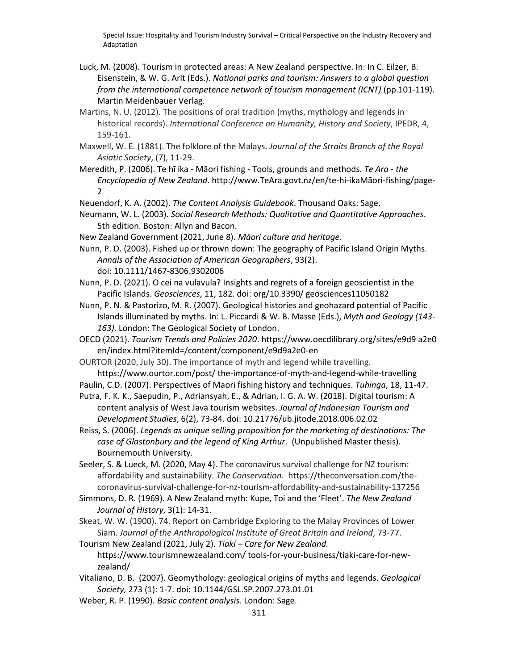- Luck, M. (2008). Tourism in protected areas: A New Zealand perspective. In: In C. Eilzer, B. Eisenstein, & W. G. Arlt (Eds.). *National parks and tourism: Answers to a global question from the international competence network of tourism management (ICNT)* (pp.101-119). Martin Meidenbauer Verlag.
- Martins, N. U. (2012). The positions of oral tradition (myths, mythology and legends in historical records). *International Conference on Humanity, History and Society*, IPEDR, 4, 159-161.
- Maxwell, W. E. (1881). The folklore of the Malays. *Journal of the Straits Branch of the Royal Asiatic Society*, (7), 11-29.
- Meredith, P. (2006). Te hī ika Māori fishing Tools, grounds and methods. *Te Ara - the Encyclopedia of New Zealand*. http://www.TeAra.govt.nz/en/te-hi-ikaMāori-fishing/page-2
- Neuendorf, K. A. (2002). *The Content Analysis Guidebook*. Thousand Oaks: Sage.
- Neumann, W. L. (2003). *Social Research Methods: Qualitative and Quantitative Approaches*. 5th edition. Boston: Allyn and Bacon.
- New Zealand Government (2021, June 8). *Māori culture and heritage*.

Nunn, P. D. (2003). Fished up or thrown down: The geography of Pacific Island Origin Myths. *Annals of the Association of American Geographers*, 93(2). doi: 10.1111/1467-8306.9302006

- Nunn, P. D. (2021). O cei na vulavula? Insights and regrets of a foreign geoscientist in the Pacific Islands. *Geosciences*, 11, 182. doi: org/10.3390/ geosciences11050182
- Nunn, P. N. & Pastorizo, M. R. (2007). Geological histories and geohazard potential of Pacific Islands illuminated by myths. In: L. Piccardi & W. B. Masse (Eds.), *Myth and Geology (143- 163)*. London: The Geological Society of London.
- OECD (2021). *Tourism Trends and Policies 2020*. https://www.oecdilibrary.org/sites/e9d9 a2e0 en/index.html?itemId=/content/component/e9d9a2e0-en
- OURTOR (2020, July 30). The importance of myth and legend while travelling. https://www.ourtor.com/post/ the-importance-of-myth-and-legend-while-travelling
- Paulin, C.D. (2007). Perspectives of Maori fishing history and techniques. *Tuhinga*, 18, 11-47.
- Putra, F. K. K., Saepudin, P., Adriansyah, E., & Adrian, I. G. A. W. (2018). Digital tourism: A content analysis of West Java tourism websites. *Journal of Indonesian Tourism and Development Studies*, 6(2), 73-84. doi: 10.21776/ub.jitode.2018.006.02.02
- Reiss, S. (2006). *Legends as unique selling proposition for the marketing of destinations: The case of Glastonbury and the legend of King Arthur*. (Unpublished Master thesis). Bournemouth University.
- Seeler, S. & Lueck, M. (2020, May 4). The coronavirus survival challenge for NZ tourism: affordability and sustainability. *The Conservation*. https://theconversation.com/thecoronavirus-survival-challenge-for-nz-tourism-affordability-and-sustainability-137256
- Simmons, D. R. (1969). A New Zealand myth: Kupe, Toi and the 'Fleet'. *The New Zealand Journal of History*, 3(1): 14-31.
- Skeat, W. W. (1900). 74. Report on Cambridge Exploring to the Malay Provinces of Lower Siam. *Journal of the Anthropological Institute of Great Britain and Ireland*, 73-77.
- Tourism New Zealand (2021, July 2). *Tiaki – Care for New Zealand.*  https://www.tourismnewzealand.com/ tools-for-your-business/tiaki-care-for-newzealand/
- Vitaliano, D. B. (2007). Geomythology: geological origins of myths and legends. *Geological Society,* 273 (1): 1-7. doi: 10.1144/GSL.SP.2007.273.01.01
- Weber, R. P. (1990). *Basic content analysis*. London: Sage.